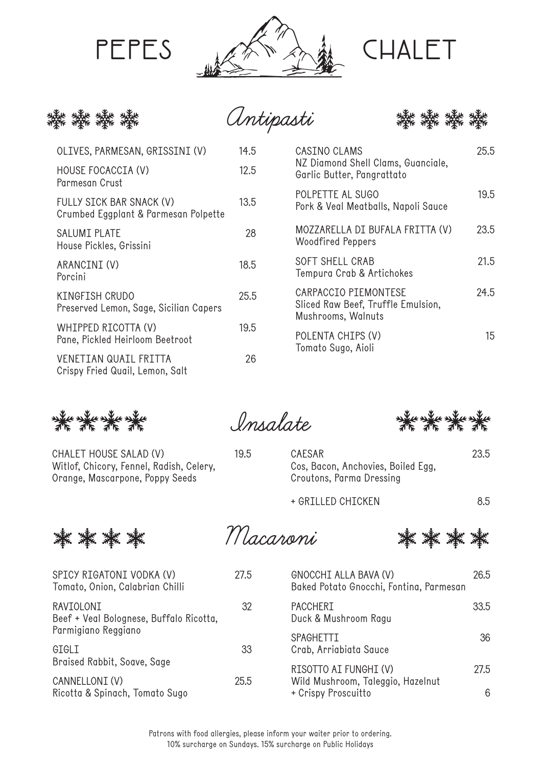





| OLIVES, PARMESAN, GRISSINI (V)                                   | 14.5 |
|------------------------------------------------------------------|------|
| HOUSE FOCACCIA (V)<br>Parmesan Crust                             | 12.5 |
| FULLY SICK BAR SNACK (V)<br>Crumbed Eggplant & Parmesan Polpette | 13.5 |
| SALUMI PLATE<br>House Pickles, Grissini                          | 28   |
| ARANCINI (V)<br>Porcini                                          | 18.5 |
| KINGFISH CRUDO<br>Preserved Lemon, Sage, Sicilian Capers         | 25.5 |
| WHIPPED RICOTTA (V)<br>Pane, Pickled Heirloom Beetroot           | 19.5 |
| <b>VENETIAN QUAIL FRITTA</b><br>Crispy Fried Quail, Lemon, Salt  | 26   |

| CASINO CLAMS<br>NZ Diamond Shell Clams, Guanciale,<br>Garlic Butter, Pangrattato | 25.5 |
|----------------------------------------------------------------------------------|------|
| POLPETTE AL SUGO<br>Pork & Veal Meatballs, Napoli Sauce                          | 19.5 |
| MOZZARELLA DI BUFALA FRITTA (V)<br><b>Woodfired Peppers</b>                      | 23.5 |
| SOFT SHELL CRAB<br>Tempura Crab & Artichokes                                     | 21.5 |
| CARPACCIO PIEMONTESE<br>Sliced Raw Beef, Truffle Emulsion,<br>Mushrooms, Walnuts | 24.5 |
| POLENTA CHIPS (V)<br>Tomato Sugo, Aioli                                          | 15   |

GGGG

CHALET HOUSE SALAD (V) 19.5 Witlof, Chicory, Fennel, Radish, Celery, Orange, Mascarpone, Poppy Seeds

**Insalate**

紫紫紫

CAESAR 23.5 Cos, Bacon, Anchovies, Boiled Egg, Croutons, Parma Dressing

+ GRILLED CHICKEN 8.5



**Macaroni**

素 綦 綦

| SPICY RIGATONI VODKA (V)<br>Tomato, Onion, Calabrian Chilli | 27.5 | GNOCCHI ALLA BAVA (V)<br>Baked Potato Gnocchi, Fontina, Parmesan | 26.5 |
|-------------------------------------------------------------|------|------------------------------------------------------------------|------|
| RAVIOLONI<br>Beef + Veal Bolognese, Buffalo Ricotta,        | 32   | <b>PACCHERI</b><br>Duck & Mushroom Ragu                          | 33.5 |
| Parmigiano Reggiano                                         |      | <b>SPAGHETTI</b>                                                 | 36   |
| GIGLI                                                       | 33   | Crab, Arriabiata Sauce                                           |      |
| Braised Rabbit, Soave, Sage                                 |      | RISOTTO AI FUNGHI (V)                                            | 27.5 |
| CANNELLONI (V)                                              | 25.5 | Wild Mushroom, Taleggio, Hazelnut                                |      |
| Ricotta & Spinach, Tomato Sugo                              |      | + Crispy Proscuitto                                              | 6    |

Patrons with food allergies, please inform your waiter prior to ordering. 10% surcharge on Sundays. 15% surcharge on Public Holidays